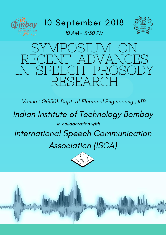

#### 10 September 2018



Indian Institute of Technology Bombay in collaboration with

### SYMPOSIUM ON RECENT ADVANCES IN SPEECH PROSODY RESEARCH

### International Speech Communication Association (ISCA)





Venue : GG301, Dept. of Electrical Engineering , IITB

10 AM - 5:30 PM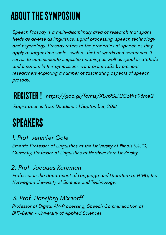## ABOUTTHESYMPOSIUM

### SPEAKERS



#### 1. Prof. Jennifer Cole

#### 2. Prof. Jacques Koreman

#### 3. Prof. Hansjörg Mixdorff

Emerita Professor of Linguistics at the University of Illinois (UIUC). Currently, Professor of Linguistics at Northwestern Unviersity.

Professor in the department of Language and Literature at NTNU, the Norwegian University of Science and Technology.

Professor of Digital AV-Processing, Speech Communication at BHT-Berlin - University of Applied Sciences.

Speech Prosody is a multi-disciplinary area of research that spans fields as diverse as linguistics, signal processing, speech technology and psychology. Prosody refers to the properties of speech as they apply at larger time scales such as that of words and sentences. It serves to communicate linguistic meaning as well as speaker attitude and emotion. In this symposium, we present talks by eminent researchers exploring a number of fascinating aspects of speech prosody.

REGISTER! <https://goo.gl/forms/XUn9SLHJCoWY93me2> Registration is free. Deadline : 1 September, 2018